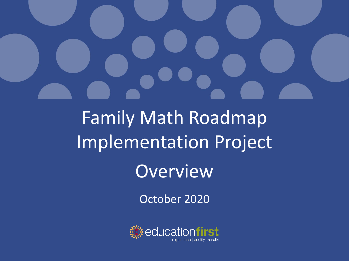

# Family Math Roadmap Implementation Project **Overview**

October 2020

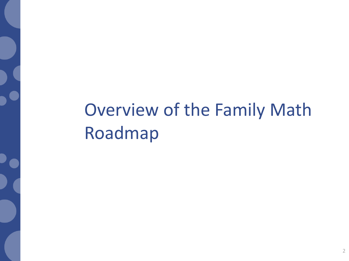# Overview of the Family Math Roadmap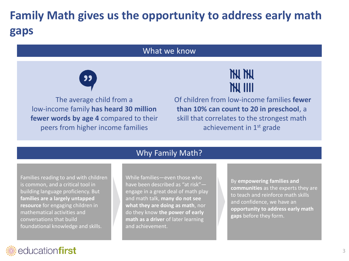# **Family Math gives us the opportunity to address early math gaps**

#### What we know



The average child from a low-income family **has heard 30 million fewer words by age 4** compared to their peers from higher income families



Of children from low-income families **fewer than 10% can count to 20 in preschool**, a skill that correlates to the strongest math achievement in  $1<sup>st</sup>$  grade

#### Why Family Math?

Families reading to and with children is common, and a critical tool in building language proficiency. But **families are a largely untapped resource** for engaging children in mathematical activities and conversations that build foundational knowledge and skills.

While families—even those who have been described as "at risk" engage in a great deal of math play and math talk, **many do not see what they are doing as math**, nor do they know **the power of early math as a driver** of later learning and achievement.

By **empowering families and communities** as the experts they are to teach and reinforce math skills and confidence, we have an **opportunity to address early math gaps** before they form.

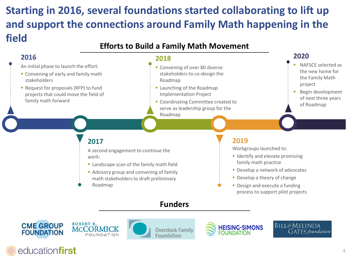## **Starting in 2016, several foundations started collaborating to lift up and support the connections around Family Math happening in the field**

#### **Efforts to Build a Family Math Movement**

#### **2016**

- An initial phase to launch the effort:
- **Convening of early and family math** stakeholders
- Request for proposals (RFP) to fund projects that could move the field of family math forward

#### **2018**

- **Convening of over 80 diverse** stakeholders to co-design the Roadmap
- **Exercise 1** Launching of the Roadmap Implementation Project
- **EX Coordinating Committee created to** serve as leadership group for the Roadmap

#### **2020**

- NAFSCE selected as the new home for the Family Math project
- Begin development of next three years of Roadmap

#### **2017**

A second engagement to continue the work:

- **Example 2** Landscape scan of the family math field
- Advisory group and convening of family math stakeholders to draft preliminary
- Roadmap

#### **Funders**









**2019**

Workgroups launched to:

family math practice

**E** Identify and elevate promising

**• Develop a network of advocates • Develop a theory of change • Design and execute a funding** process to support pilot projects

> BILL&MELINDA **GATES** foundation

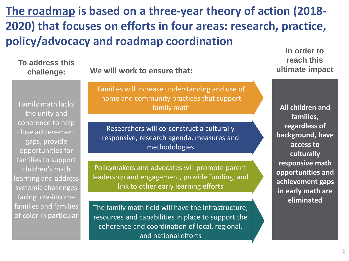**[The roadmap](https://www.dropbox.com/s/zj5n9p8zpeon9eu/Roadmap%20for%20Implementing%20a%20Family%20Math%20Movement%203.7.18.pdf?dl=0) is based on a three-year theory of action (2018- 2020) that focuses on efforts in four areas: research, practice, policy/advocacy and roadmap coordination**

**To address this challenge:**

**We will work to ensure that:** 

Family math lacks the unity and coherence to help close achievement gaps, provide opportunities for families to support children's math learning and address systemic challenges facing low-income families and families of color in particular

Families will increase understanding and use of home and community practices that support family math

Researchers will co-construct a culturally responsive, research agenda, measures and methodologies

Policymakers and advocates will promote parent leadership and engagement, provide funding, and link to other early learning efforts

The family math field will have the infrastructure, resources and capabilities in place to support the coherence and coordination of local, regional, and national efforts

**In order to reach this ultimate impact**

**All children and families, regardless of background, have access to culturally responsive math opportunities and achievement gaps in early math are eliminated**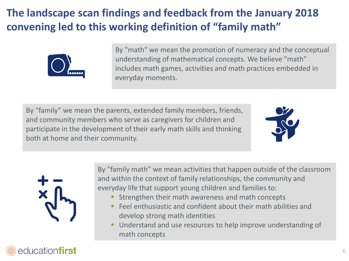## **The landscape scan findings and feedback from the January 2018 convening led to this working definition of "family math"**



By "math" we mean the promotion of numeracy and the conceptual understanding of mathematical concepts. We believe "math" includes math games, activities and math practices embedded in everyday moments.

By "family" we mean the parents, extended family members, friends, and community members who serve as caregivers for children and participate in the development of their early math skills and thinking both at home and their community.





By "family math" we mean activities that happen outside of the classroom and within the context of family relationships, the community and everyday life that support young children and families to:

- Strengthen their math awareness and math concepts
- Feel enthusiastic and confident about their math abilities and develop strong math identities
- Understand and use resources to help improve understanding of math concepts

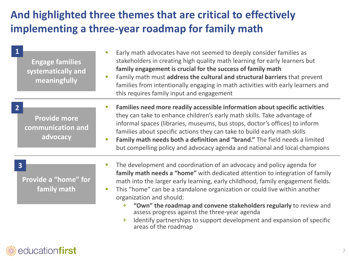### **And highlighted three themes that are critical to effectively implementing a three-year roadmap for family math**

**Engage families systematically and meaningfully**

- Early math advocates have not seemed to deeply consider families as stakeholders in creating high quality math learning for early learners but **family engagement is crucial for the success of family math**
- Family math must **address the cultural and structural barriers** that prevent families from intentionally engaging in math activities with early learners and this requires family input and engagement

**Provide more communication and advocacy**

- **Families need more readily accessible information about specific activities**  they can take to enhance children's early math skills. Take advantage of informal spaces (libraries, museums, bus stops, doctor's offices) to inform families about specific actions they can take to build early math skills
- **Family math needs both a definition and "brand."** The field needs a limited but compelling policy and advocacy agenda and national and local champions

#### **3**

**2**

**1**

**Provide a "home" for family math**

- The development and coordination of an advocacy and policy agenda for **family math needs a "home"** with dedicated attention to integration of family math into the larger early learning, early childhood, family engagement fields.
- This "home" can be a standalone organization or could live within another organization and should:
	- + **"Own" the roadmap and convene stakeholders regularly** to review and assess progress against the three-year agenda
	- + Identify partnerships to support development and expansion of specific areas of the roadmap

### education**first**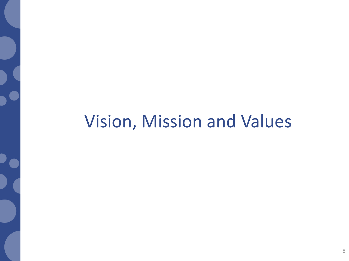# Vision, Mission and Values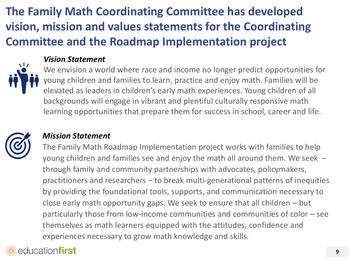# **The Family Math Coordinating Committee has developed vision, mission and values statements for the Coordinating Committee and the Roadmap Implementation project**



#### *Vision Statement*

We envision a world where race and income no longer predict opportunities for young children and families to learn, practice and enjoy math. Families will be elevated as leaders in children's early math experiences. Young children of all backgrounds will engage in vibrant and plentiful culturally responsive math learning opportunities that prepare them for success in school, career and life.



#### *Mission Statement*

The Family Math Roadmap Implementation project works with families to help young children and families see and enjoy the math all around them. We seek – through family and community partnerships with advocates, policymakers, practitioners and researchers – to break multi-generational patterns of inequities by providing the foundational tools, supports, and communication necessary to close early math opportunity gaps. We seek to ensure that all children – but particularly those from low-income communities and communities of color – see themselves as math learners equipped with the attitudes, confidence and experiences necessary to grow math knowledge and skills.

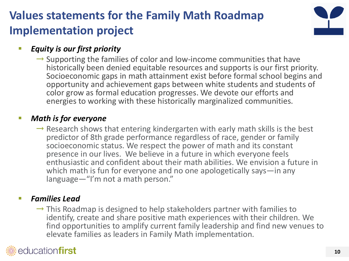# **Values statements for the Family Math Roadmap Implementation project**



#### *Equity is our first priority*

 $\rightarrow$  Supporting the families of color and low-income communities that have historically been denied equitable resources and supports is our first priority. Socioeconomic gaps in math attainment exist before formal school begins and opportunity and achievement gaps between white students and students of color grow as formal education progresses. We devote our efforts and energies to working with these historically marginalized communities.

#### ▪ *Math is for everyone*

 $\rightarrow$  Research shows that entering kindergarten with early math skills is the best predictor of 8th grade performance regardless of race, gender or family socioeconomic status. We respect the power of math and its constant presence in our lives. We believe in a future in which everyone feels enthusiastic and confident about their math abilities. We envision a future in which math is fun for everyone and no one apologetically says—in any language—"I'm not a math person."

#### ▪ *Families Lead*

 $\rightarrow$  This Roadmap is designed to help stakeholders partner with families to identify, create and share positive math experiences with their children. We find opportunities to amplify current family leadership and find new venues to elevate families as leaders in Family Math implementation.

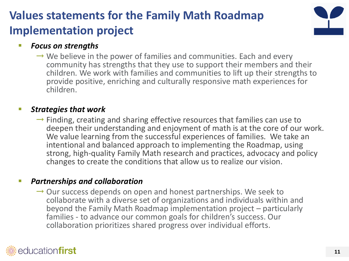# **Values statements for the Family Math Roadmap Implementation project**



#### ▪ *Focus on strengths*

 $\rightarrow$  We believe in the power of families and communities. Each and every community has strengths that they use to support their members and their children. We work with families and communities to lift up their strengths to provide positive, enriching and culturally responsive math experiences for children.

#### **Strategies that work**

 $\rightarrow$  Finding, creating and sharing effective resources that families can use to deepen their understanding and enjoyment of math is at the core of our work. We value learning from the successful experiences of families. We take an intentional and balanced approach to implementing the Roadmap, using strong, high-quality Family Math research and practices, advocacy and policy changes to create the conditions that allow us to realize our vision.

#### ▪ *Partnerships and collaboration*

 $\rightarrow$  Our success depends on open and honest partnerships. We seek to collaborate with a diverse set of organizations and individuals within and beyond the Family Math Roadmap implementation project – particularly families - to advance our common goals for children's success. Our collaboration prioritizes shared progress over individual efforts.

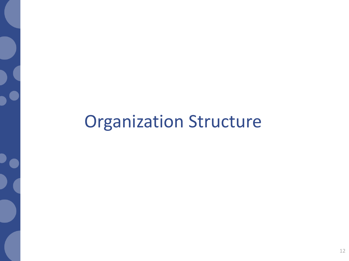# Organization Structure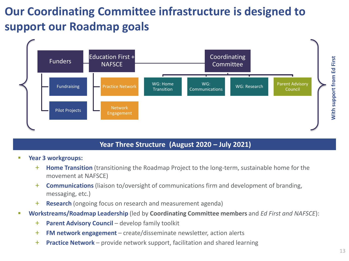# **Our Coordinating Committee infrastructure is designed to support our Roadmap goals**



#### **Year Three Structure (August 2020 – July 2021)**

- Year 3 workgroups:
	- + **Home Transition** (transitioning the Roadmap Project to the long-term, sustainable home for the movement at NAFSCE)
	- + **Communications** (liaison to/oversight of communications firm and development of branding, messaging, etc.)
	- + **Research** (ongoing focus on research and measurement agenda)
- **Workstreams/Roadmap Leadership** (led by **Coordinating Committee members** and *Ed First and NAFSCE*):
	- + **Parent Advisory Council**  develop family toolkit
	- + **FM network engagement**  create/disseminate newsletter, action alerts
	- + **Practice Network**  provide network support, facilitation and shared learning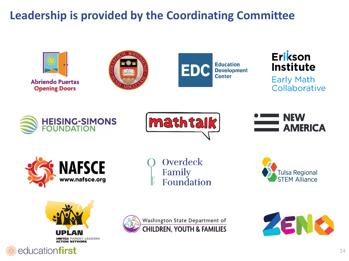# **Leadership is provided by the Coordinating Committee**

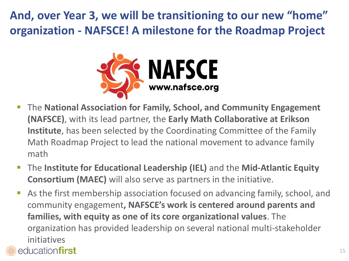**And, over Year 3, we will be transitioning to our new "home" organization - NAFSCE! A milestone for the Roadmap Project**



- **The National Association for Family, School, and Community Engagement (NAFSCE)**, with its lead partner, the **Early Math Collaborative at Erikson Institute**, has been selected by the Coordinating Committee of the Family Math Roadmap Project to lead the national movement to advance family math
- **EXTE: The Institute for Educational Leadership (IEL)** and the Mid-Atlantic Equity **Consortium (MAEC)** will also serve as partners in the initiative.
- As the first membership association focused on advancing family, school, and community engagement**, NAFSCE's work is centered around parents and families, with equity as one of its core organizational values**. The organization has provided leadership on several national multi-stakeholder initiatives

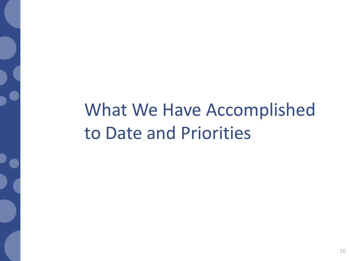What We Have Accomplished to Date and Priorities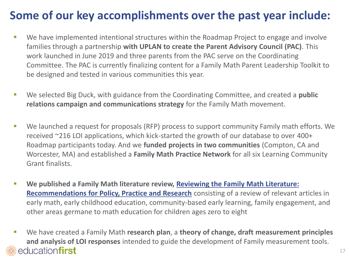## **Some of our key accomplishments over the past year include:**

- We have implemented intentional structures within the Roadmap Project to engage and involve families through a partnership **with UPLAN to create the Parent Advisory Council (PAC)**. This work launched in June 2019 and three parents from the PAC serve on the Coordinating Committee. The PAC is currently finalizing content for a Family Math Parent Leadership Toolkit to be designed and tested in various communities this year.
- We selected Big Duck, with guidance from the Coordinating Committee, and created a **public relations campaign and communications strategy** for the Family Math movement.
- We launched a request for proposals (RFP) process to support community Family math efforts. We received ~216 LOI applications, which kick-started the growth of our database to over 400+ Roadmap participants today. And we **funded projects in two communities** (Compton, CA and Worcester, MA) and established a **Family Math Practice Network** for all six Learning Community Grant finalists.
- **[We published a Family Math literature review, Reviewing the Family Math Literature:](https://education-first.com/wp-content/uploads/2020/06/FamilyMathReview_WhitePaper.pdf) Recommendations for Policy, Practice and Research** consisting of a review of relevant articles in early math, early childhood education, community-based early learning, family engagement, and other areas germane to math education for children ages zero to eight
- We have created a Family Math **research plan**, a theory of change, draft measurement principles **and analysis of LOI responses** intended to guide the development of Family measurement tools. educationfirst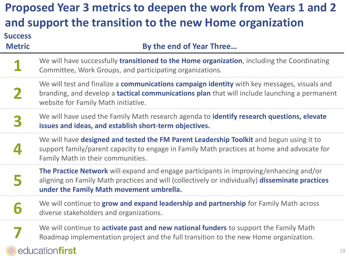#### **Proposed Year 3 metrics to deepen the work from Years 1 and 2 and support the transition to the new Home organization Success Metric By** the end of Year Three... We will have successfully **transitioned to the Home organization**, including the Coordinating **1** Committee, Work Groups, and participating organizations. We will test and finalize a **communications campaign identity** with key messages, visuals and **2** branding, and develop a **tactical communications plan** that will include launching a permanent website for Family Math initiative. We will have used the Family Math research agenda to **identify research questions, elevate 3 issues and ideas, and establish short-term objectives.**  We will have **designed and tested the FM Parent Leadership Toolkit** and begun using it to **4** support family/parent capacity to engage in Family Math practices at home and advocate for Family Math in their communities. **The Practice Network** will expand and engage participants in improving/enhancing and/or **5** aligning on Family Math practices and will (collectively or individually) **disseminate practices under the Family Math movement umbrella.** We will continue to **grow and expand leadership and partnership** for Family Math across **6** diverse stakeholders and organizations. We will continue to **activate past and new national funders** to support the Family Math **7** Roadmap implementation project and the full transition to the new Home organization. education**first**

#### 18